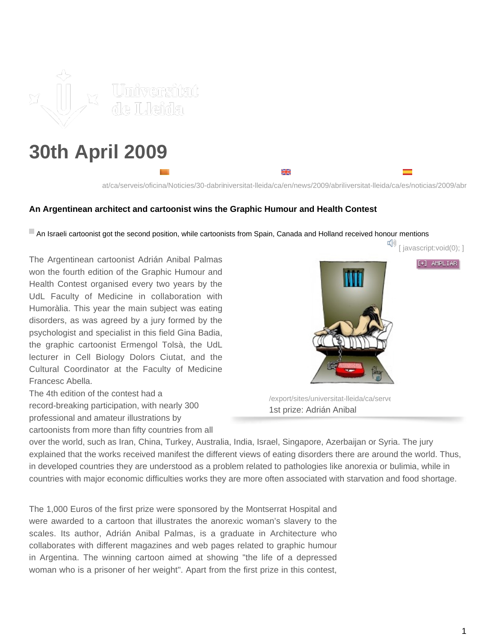

# **30th April 2009**

꾞 at/ca/serveis/oficina/Noticies/30-dabriniversitat-lleida/ca/en/news/2009/abriliversitat-lleida/ca/es/noticias/2009/abr

#### **An Argentinean architect and cartoonist wins the Graphic Humour and Health Contest**

An Israeli cartoonist got the second position, while cartoonists from Spain, Canada and Holland received honour mentions

The Argentinean cartoonist Adrián Anibal Palmas won the fourth edition of the Graphic Humour and Health Contest organised every two years by the UdL Faculty of Medicine in collaboration with Humoràlia. This year the main subject was eating disorders, as was agreed by a jury formed by the psychologist and specialist in this field Gina Badia, the graphic cartoonist Ermengol Tolsà, the UdL lecturer in Cell Biology Dolors Ciutat, and the Cultural Coordinator at the Faculty of Medicine Francesc Abella.

The 4th edition of the contest had a record-breaking participation, with nearly 300 professional and amateur illustrations by

cartoonists from more than fifty countries from all



[+] AMPLIAR

/export/sites/universitat-lleida/ca/serve 1st prize: Adrián Anibal

over the world, such as Iran, China, Turkey, Australia, India, Israel, Singapore, Azerbaijan or Syria. The jury explained that the works received manifest the different views of eating disorders there are around the world. Thus, in developed countries they are understood as a problem related to pathologies like anorexia or bulimia, while in countries with major economic difficulties works they are more often associated with starvation and food shortage.

The 1,000 Euros of the first prize were sponsored by the Montserrat Hospital and were awarded to a cartoon that illustrates the anorexic woman's slavery to the scales. Its author, Adrián Anibal Palmas, is a graduate in Architecture who collaborates with different magazines and web pages related to graphic humour in Argentina. The winning cartoon aimed at showing "the life of a depressed woman who is a prisoner of her weight". Apart from the first prize in this contest,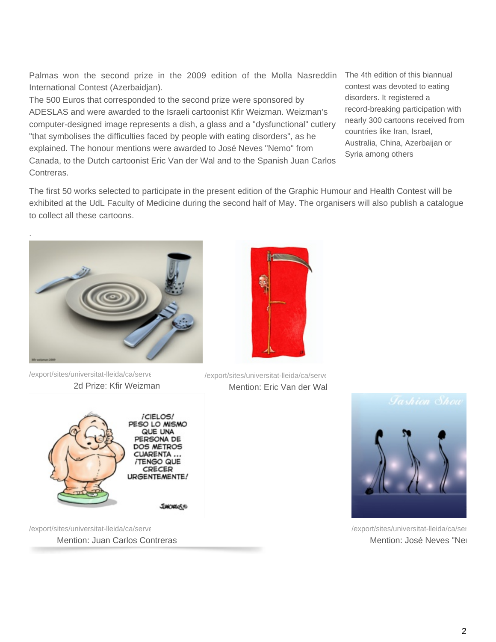Palmas won the second prize in the 2009 edition of the Molla Nasreddin International Contest (Azerbaidjan).

The 500 Euros that corresponded to the second prize were sponsored by ADESLAS and were awarded to the Israeli cartoonist Kfir Weizman. Weizman's computer-designed image represents a dish, a glass and a "dysfunctional" cutlery "that symbolises the difficulties faced by people with eating disorders", as he explained. The honour mentions were awarded to José Neves "Nemo" from Canada, to the Dutch cartoonist Eric Van der Wal and to the Spanish Juan Carlos Contreras.

The 4th edition of this biannual contest was devoted to eating disorders. It registered a record-breaking participation with nearly 300 cartoons received from countries like Iran, Israel, Australia, China, Azerbaijan or Syria among others

The first 50 works selected to participate in the present edition of the Graphic Humour and Health Contest will be exhibited at the UdL Faculty of Medicine during the second half of May. The organisers will also publish a catalogue to collect all these cartoons.



export/sites/universitat-lleida/ca/serv، /export/sites/universitat-lleida/ca/serv، 2d Prize: Kfir Weizman



/export/sites/universitat-lleida/ca/serve

Mention: Juan Carlos Contreras



Mention: Eric Van der Wal



/export/sites/universitat-lleida/ca/ser Mention: José Neves "Ner